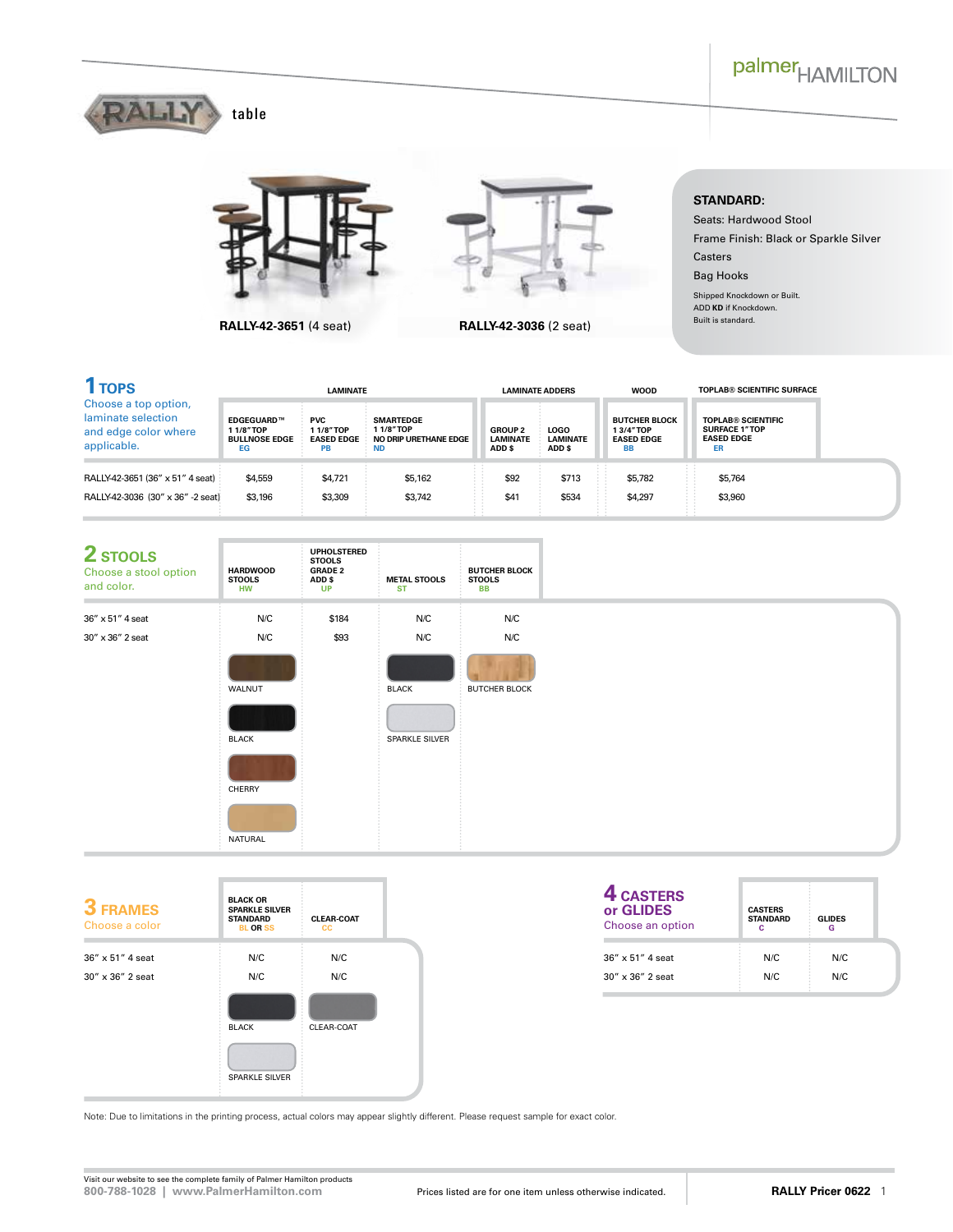



**RALLY-42-3651** (4 seat) **RALLY-42-3036** (2 seat)



## **STANDARD:**

Seats: Hardwood Stool Frame Finish: Black or Sparkle Silver Casters Bag Hooks Shipped Knockdown or Built. ADD **KD** if Knockdown.

Built is standard.

| <b>TOPS</b>                                                                       | <b>LAMINATE</b>                                             |                                                   |                                                                    | <b>LAMINATE ADDERS</b>                      |                                          | <b>WOOD</b>                                                        | <b>TOPLAB® SCIENTIFIC SURFACE</b>                                            |
|-----------------------------------------------------------------------------------|-------------------------------------------------------------|---------------------------------------------------|--------------------------------------------------------------------|---------------------------------------------|------------------------------------------|--------------------------------------------------------------------|------------------------------------------------------------------------------|
| Choose a top option,<br>laminate selection<br>and edge color where<br>applicable. | <b>EDGEGUARD™</b><br>11/8"TOP<br><b>BULLNOSE EDGE</b><br>EG | <b>PVC</b><br>11/8"TOP<br><b>EASED EDGE</b><br>PB | <b>SMARTEDGE</b><br>11/8"TOP<br>NO DRIP URETHANE EDGE<br><b>ND</b> | <b>GROUP 2</b><br><b>LAMINATE</b><br>ADD \$ | <b>LOGO</b><br><b>LAMINATE</b><br>ADD \$ | <b>BUTCHER BLOCK</b><br>13/4"TOP<br><b>EASED EDGE</b><br><b>BB</b> | <b>TOPLAB® SCIENTIFIC</b><br><b>SURFACE 1"TOP</b><br><b>EASED EDGE</b><br>ER |
| RALLY-42-3651 (36" x 51" 4 seat)                                                  | \$4,559                                                     | \$4,721                                           | Ħ<br>\$5,162<br>$\sim$                                             | $\sim$<br>$\cdots$<br>\$92                  | \$713                                    | \$5,782<br>$\cdots$                                                | \$5,764<br>$\cdots$<br>$\sim$<br>$-2$                                        |
| RALLY-42-3036 (30" x 36" -2 seat)                                                 | \$3,196                                                     | \$3,309                                           | $\sim$ $\sim$<br>$\sim$<br>Ħ<br>\$3.742                            | \$41<br>$\sim$ $\sim$                       | \$534                                    | \$4.297<br>$\sim$ $\sim$                                           | $\sim$ $\sim$<br>$-2$<br>\$3,960<br>$\cdots$<br>$\sim$<br>$\sim$ $\sim$      |



| <b>3 FRAMES</b><br>Choose a color | <b>BLACK OR</b><br><b>SPARKLE SILVER</b><br><b>STANDARD</b><br><b>BL OR SS</b> | <b>CLEAR-COAT</b><br><b>CC</b> |  |
|-----------------------------------|--------------------------------------------------------------------------------|--------------------------------|--|
| 36" x 51" 4 seat                  | N/C                                                                            | N/C                            |  |
| $30'' \times 36''$ 2 seat         | N/C                                                                            | N/C                            |  |
|                                   | <b>BLACK</b>                                                                   | CLEAR-COAT                     |  |
|                                   | <b>SPARKLE SILVER</b>                                                          |                                |  |

| 4 CASTERS<br>or GLIDES<br>Choose an option | <b>CASTERS</b><br><b>STANDARD</b> | <b>GLIDES</b> |
|--------------------------------------------|-----------------------------------|---------------|
| 36" x 51" 4 seat                           | N/C                               | N/C           |
| $30'' \times 36''$ 2 seat                  | N/C                               | N/C           |

Note: Due to limitations in the printing process, actual colors may appear slightly different. Please request sample for exact color.